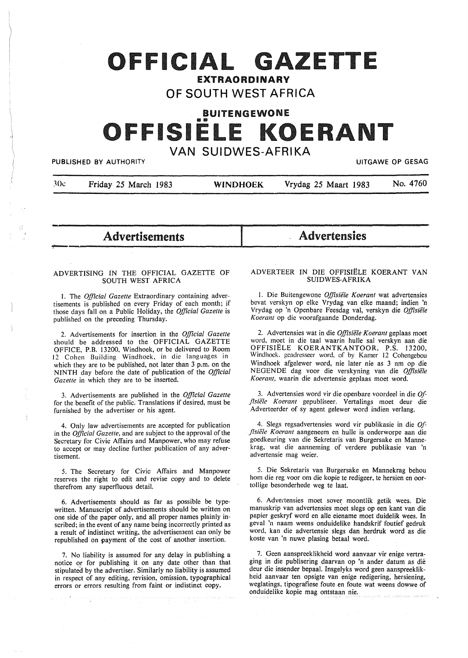### OFFICIAL GAZETTE EXTRAORDINARY

### **OF SOUTH WEST AFRICA**

BUITENGEWONE

# FISIE

## VAN SUIDWES-AFRIKA<br>PUBLISHED BY AUTHORITY

}(k Friday 25 March 1983 **WINDHOEK** Vrydag 25 Maart 1983 No. 4760

Advertisements Advertensies

#### ADVERTISING IN THE OFFICIAL GAZETTE OF SOUTH WEST AFRICA

l. The *Official Gazette* Extraordinary containing advertisements is published on every Friday of each month; if those days fall on a Public Holiday, the *Official Gazette* is published on the preceding Thursday.

2. Advertisements for insertion in the *Official Gazette*  should be addressed to the OFFICIAL GAZETTE OFFICE, P.B. 13200, Windhoek, or be delivered to Room 12 Cohen Building Windhoek, in die languages in which they are to be published, not later than 3 p.m. on the NINTH day before the date of publication of the *Official*  Gazette in which they are to be inserted.

3. Advertisements are published in the *Official Gazette*  for the benefit of the public. Translations if desired, must be furnished by the advertiser or his agent.

4. Only law advertisements are accepted for publication in the *Official Gazette,* and are subject to the approval of the Secretary for Civic Affairs and Manpower, who may refuse to accept or may decline further publication of any advertisement.

5. The Secretary for Civic Affairs and Manpower reserves the right to edit and revise copy and to delete therefrom any superfluous detail.

6. Advertisements should as far as possible be typewritten. Manuscript of advertisements should be written on one side of the paper only, and all proper names plainly inscribed; in the event of any name being incorrectly printed as a result of indistinct writing, the advertisement can only be republished on payment of the cost of another insertion.

7. No liability is assumed for any delay in publishing a notice or for publishing it on any date other than that stipulated by the advertiser. Similarly no liability is assumed in respect of any editing, revision, omission, typographical errors or errors resulting from faint or indistinct copy.

e verdi ve maj demokratiko politiko egiptiko eta ez

#### ADVERTEER IN DIE OFFISIELE KOERANT VAN SUIDWES-AFRIKA

I. Die Buitengewone *Offisiele Koerant* wat advertensies bevat verskyn op elke Vrydag van elke maand; indien 'n Vrydag op 'n Openbare Feesdag val, verskyn die *Offisiele Koerant* op die voorafgaande Donderdag.

2. Advertensies wat in die *Offisiele Koerant* geplaas moet word, moet in die taal waarin hulle sal verskyn aan die OFFISIELE **KOERANTKANTOOR, P.S.** 13200, Windhoek. gcadrcsseer word, of by Kamer 12 Cohengebou Windhoek afgelewer word, nie later nie as 3 nm op die NEGENDE dag voor die verskyning van die *Offisie1e Koerant,* waarin die advertensie geplaas moet word.

3. Advertensies word vir die openbare voordeel in die 0/- *.flsie"/e Koerant* gepubliseer. Vertalings moet deur die Adverteerder of sy agent gelewer word indien verlang.

4. Slegs regsadvertensies word vir publikasie in die *Of- .flsie/e Koerant* aangeneem en hulle is onderworpe aan die goedkeuring van die Sekretaris van Burgersake en Mannekrag, wat die aanneming of verdere publikasie van 'n advertensie mag weier.

5. Die Sekretaris van Burgersake en Mannekrag behou horn die reg voor om die kopie te redigeer, te hersien en oortollige besonderhede weg te laat.

6. Advertensies moet sover moontlik getik wees. Die manuskrip van advertensies moet slegs op een kant van die papier geskryf word en alle eiename moet duidelik wees. In geval 'n naam weens onduidelike handskrif foutief gedruk word, kan die advertensie slegs dan herdruk word as die koste van 'n nuwe plasing betaal word.

7. Geen aanspreeklikheid word aanvaar vir enige vertraging in die publisering daarvan op 'n ander datum as die deur die insender bepaal. Insgelyks word geen aanspreeklikheid aanvaar ten opsigte van enige redigering, hersiening, weglatings, tipografiese foute en foute wat weens dowwe of onduidelike kopie mag ontstaan nie.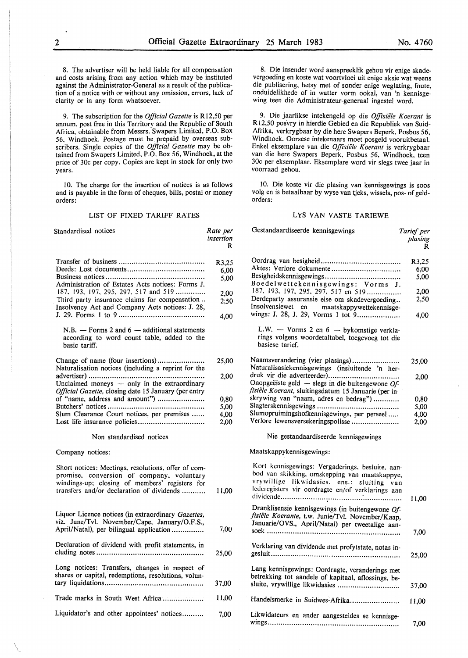8. Die insender word aanspreeklik gehou vir enige skadevergoeding en koste wat voortvloei uit enige aksie wat weens

voorraad gehou.

orders:

die publisering, hetsy met of sonder enige weglating, foute, onduidelikhede of in watter vorm ookal, van 'n kennisgewing teen die Administrateur-generaal ingestel word.

9. Die jaarlikse intekengeld op die *Offisiele Koerant* is R 12,50 posvry in hierdie Gebied en die Republiek van Suid-Afrika, verkrygbaar by die here Swapers Beperk, Posbus 56, Windhoek. Oorsese intekenaars moet posgeld vooruitbetaal. Enkel eksemplare van die *Offisiële Koerant* is verkrygbaar van die here Swapers Beperk, Posbus 56, Windhoek, teen 30c per eksemplaar. Eksemplare word vir slegs twee jaar in

10. Die koste vir die plasing van kennisgewings is soos volg en is betaalbaar by wyse van tjeks, wissels, pos- of geld-

LYS VAN VASTE TARIEWE

8. The advertiser will be held liable for all compensation and costs arising from any action which may be instituted against the Administrator-General as a result of the publication of a notice with or without any omission, errors, lack of clarity or in any form whatsoever.

9. The subscription for the *Official Gazette* is Rl2,50 per annum, post free in this Territory and the Republic of South Africa, obtainable from Messrs. Swapers Limited, P.O. Box 56, Windhoek. Postage must be prepaid by overseas subscribers. Single copies of the *Official Gazette* may be obtained from Swapers Limited, P.O. Box 56, Windhoek, at the price of 30c per copy. Copies are kept in stock for only two years.

10. The charge for the insertion of notices is as follows and is payable in the form of cheques, bills, postal or money orders:

#### LIST OF FIXED TARIFF RATES

| Standardised notices                                                                                                                                                                            | Rate per<br>insertion<br>R | Gestandaardiseerde kennisgewings                                                                                                                                                                     | Tarief per<br>plasing<br>R |
|-------------------------------------------------------------------------------------------------------------------------------------------------------------------------------------------------|----------------------------|------------------------------------------------------------------------------------------------------------------------------------------------------------------------------------------------------|----------------------------|
|                                                                                                                                                                                                 | R3,25                      |                                                                                                                                                                                                      | R3,25                      |
|                                                                                                                                                                                                 | 6,00                       |                                                                                                                                                                                                      | 6,00                       |
|                                                                                                                                                                                                 | 5,00                       |                                                                                                                                                                                                      | 5,00                       |
| Administration of Estates Acts notices: Forms J.                                                                                                                                                |                            | Boedelwettekennisgewings: Vorms J.                                                                                                                                                                   |                            |
| 187, 193, 197, 295, 297, 517 and 519                                                                                                                                                            |                            | 187, 193, 197, 295, 297, 517 en 519                                                                                                                                                                  | 2,00                       |
| Third party insurance claims for compensation                                                                                                                                                   | 2,00                       | Derdeparty assuransie eise om skadevergoeding                                                                                                                                                        | 2,50                       |
| Insolvency Act and Company Acts notices: J. 28,                                                                                                                                                 | 2,50                       | Insolvensiewet en<br>maatskappywettekennisge-                                                                                                                                                        |                            |
|                                                                                                                                                                                                 | 4,00                       | wings: J. 28, J. 29, Vorms 1 tot 9                                                                                                                                                                   | 4,00                       |
| N.B. $-$ Forms 2 and 6 $-$ additional statements<br>according to word count table, added to the<br>basic tariff.                                                                                |                            | L.W. - Vorms 2 en $6$ - bykomstige verkla-<br>rings volgens woordetaltabel, toegevoeg tot die<br>basiese tarief.                                                                                     |                            |
|                                                                                                                                                                                                 | 25,00                      | Naamsverandering (vier plasings)                                                                                                                                                                     | 25,00                      |
| Naturalisation notices (including a reprint for the                                                                                                                                             |                            | Naturalisasiekennisgewings (insluitende 'n her-                                                                                                                                                      |                            |
|                                                                                                                                                                                                 | 2,00                       |                                                                                                                                                                                                      | 2,00                       |
| Unclaimed moneys — only in the extraordinary                                                                                                                                                    |                            | Onopgeëiste geld — slegs in die buitengewone Of-                                                                                                                                                     |                            |
| <i>Official Gazette, closing date 15 January (per entry</i>                                                                                                                                     |                            | fisiële Koerant, sluitingsdatum 15 Januarie (per in-                                                                                                                                                 |                            |
| of "name, address and amount")                                                                                                                                                                  | 0.80                       | skrywing van "naam, adres en bedrag")                                                                                                                                                                | 0.80                       |
|                                                                                                                                                                                                 | 5,00                       |                                                                                                                                                                                                      | 5,00                       |
| Slum Clearance Court notices, per premises                                                                                                                                                      | 4,00                       | Slumopruimingshofkennisgewings, per perseel                                                                                                                                                          | 4,00                       |
|                                                                                                                                                                                                 | 2,00                       | Verlore lewensversekeringspolisse                                                                                                                                                                    | 2,00                       |
| Non standardised notices                                                                                                                                                                        |                            | Nie gestandaardiseerde kennisgewings                                                                                                                                                                 |                            |
| Company notices:                                                                                                                                                                                |                            | Maatskappykennisgewings:                                                                                                                                                                             |                            |
| Short notices: Meetings, resolutions, offer of com-<br>promise, conversion of company, voluntary<br>windings-up; closing of members' registers for<br>transfers and/or declaration of dividends | 11,00                      | Kort kennisgewings: Vergaderings, besluite, aan-<br>bod van skikking, omskepping van maatskappye,<br>vrywillige likwidasies, ens.: sluiting van<br>lederegisters vir oordragte en/of verklarings aan | 11,00                      |
| Liquor Licence notices (in extraordinary Gazettes,                                                                                                                                              |                            | Dranklisensie kennisgewings (in buitengewone Of-                                                                                                                                                     |                            |
| viz. June/Tvl. November/Cape, January/O.F.S.,<br>April/Natal), per bilingual application                                                                                                        | 7,00                       | fisiële Koerante, t.w. Junie/Tvl. November/Kaap,<br>Januarie/OVS., April/Natal) per tweetalige aan-                                                                                                  | 7,00                       |
| Declaration of dividend with profit statements, in                                                                                                                                              | 25,00                      | Verklaring van dividende met profytstate, notas in-                                                                                                                                                  | 25,00                      |
| Long notices: Transfers, changes in respect of<br>shares or capital, redemptions, resolutions, volun-                                                                                           | 37,00                      | Lang kennisgewings: Oordragte, veranderings met<br>betrekking tot aandele of kapitaal, aflossings, be-<br>sluite, vrywillige likwidasies                                                             |                            |
| Trade marks in South West Africa                                                                                                                                                                | 11,00                      |                                                                                                                                                                                                      | 37,00                      |
|                                                                                                                                                                                                 |                            | Handelsmerke in Suidwes-Afrika                                                                                                                                                                       | 11,00                      |
| Liquidator's and other appointees' notices                                                                                                                                                      | 7,00                       | Likwidateurs en ander aangesteldes se kennisge-                                                                                                                                                      | 7,00                       |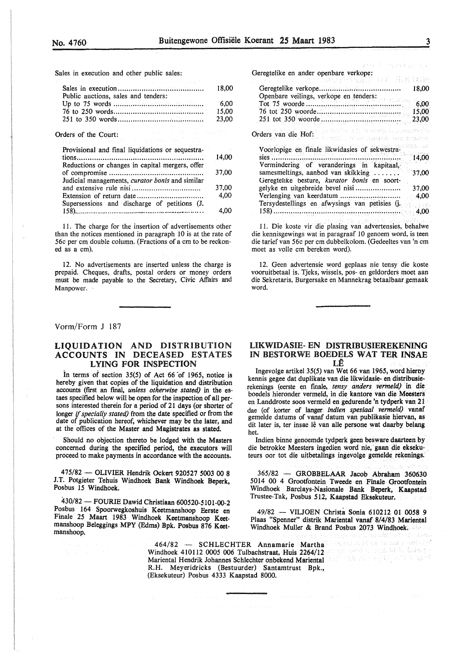Sales in execution and other public sales:

| the control of the control of the control of the |       |
|--------------------------------------------------|-------|
|                                                  | 18.00 |
| Public auctions, sales and tenders:              |       |
|                                                  | 6.00  |
|                                                  | 15.00 |
|                                                  | 23,00 |
| アンチュア しんしゃ なんしゃ                                  |       |
|                                                  |       |

Orders of the Court:

| Provisional and final liquidations or sequestra- |       |
|--------------------------------------------------|-------|
|                                                  | 14.00 |
| Reductions or changes in capital mergers, offer  | 37,00 |
| Judicial managements, curator bonis and similar  |       |
|                                                  | 37,00 |
|                                                  | 4.00  |
| Supersessions and discharge of petitions (J.     |       |
|                                                  | 4.00  |

11. The charge for the insertion of advertisements other than the notices mentioned in paragraph IO is at the rate of 56c per cm double column. (Fractions of a cm to be reckoned as a cm).

12. No advertisements are inserted unless the charge is prepaid. Cheques, drafts, postal orders or money orders must be made payable to the Secretary, Civic Affairs and Manpower.

#### Galler. Geregtelike en ander openbare verkope: iae ia gibben 962년 루 타노룡.. Geregtelike verkope ..................................... . 18,00 Openbare veilings, verkope en tenders: 6,00 Tot 75 woorde .......................................... :. 76 tot 250 woorde ..................................... .. 15,00 251 tot 350 woorde .................................... . 23,00 Orders van die Hof: Barthalten en die Barthalten in with a verse magginia has werkwa tre cost Voorlopige en finale likwidasies of sekwestrasies ........................................................... . 14,00 Vermindering of veranderings in kapitaal, samesmeltings, aanbod van skikking ...... 37,00 Geregtellke besture, *kurator bonis* en soortgelyke en uitgebreide bevel nisi ................... .. 37,00 Verlenging van keerdatum ............... : ........... . 4,00 Tersydestellings en afwysings van petisies Q. 158) .................. : ....................................... . 4,00

11. Die koste vir die plasing van advertensies, behalwe die kennisgewings wat in paragraaf 10 genoem word, is teen die tariefvan 56c per cm dubbelkolom. (Gedeeltes van 'n cm moet as voile cm bereken word).

12. Geen advertensie word geplaas nie tensy die koste vooruitbetaal is. Tjeks, wissels, pos- en geldorders moet aan die Sekretaris, Burgersake en Mannekrag betaalbaar gemaak word.

Vorm/Form J 187

#### LIQUIDATION \_AND DISTRIBUTION ACCOUNTS IN DECEASED ESTATES LYING FOR INSPECTION

In terms of section  $35(5)$  of Act 66 of 1965, notice is hereby given that copies of the liquidation and distribution accounts (first an final, *unless otherwise stated)* in the estaes specified below will be open for the inspection of all persons interested therein for a period of 21 days (or shorter of longer *if specially stated)* from the date specified or from the date of publication hereof, whichever may be the later, and at the offices of the Master and Magistrates as stated.

Should no objection thereto be lodged with the Masters concerned during the specified period, the executors will proceed to make payments in accordance with the accounts.

475/82 - OLIVIER Hendrik Ockert 920527 5003 00 8 J.T. Potgieter Tehuis Windhoek Bank Windhoek Beperk, Posbus 15 Windhoek.

430/82-FOURIE Dawid Christiaan 600520-5101-00-2 Posbus 164 Spoorwegkoshuis Keetmanshoop Eerste en Finale 25 Maart 1983 Windhoek Keetmanshoop Keetmanshoop Beleggings MPY (Edms) Bpk. Posbus 876 Keetmanshoop.

#### UKWIDASIE- EN DISTRIBUSIEREKENING IN BESTORWE BOEDELS WAT TER INSAE LE

lngevolge artikel 35(5) van Wet 66 van 1965, word hieroy kennis gegee dat duplikate van die likwidasie- en distribusierekenings (eerste en finale, *tensy anders vermeld)* in die boedels hieronder vermeld, in die kantore van die **Meesters** en Landdroste soos vermeld en gedurende 'n tydperk van 21 dae (of korter of !anger *indien spesiaal vermeld)* vanaf gemelde datums of vanaf datum van publikasie hiervan, as dit later is, ter insae lê van alle persone wat daarby belang het.

Indien binne genoemde tydperk geen besware daarteen by die betrokke Meesters ingedien word nie, gaan die eksekuteurs oor tot die uitbetalings ingevolge gemelde rekenings.

365/82 - GROBBELAAR Jacob Abraham 360630 5014 00 4 Grootfontein Tweede en Finale Grootfontein Windhoek Barclays-Nasionale Bank Beperk, Kaapstad Trustee-Tak, Posbus 512, Kaapstad Eksekuteur.

49/82 - VILJOEN Christa Sonia 610212 01 0058 9 Plaas "Spenner" distrik Mariental vanaf 8/4/83 Mariental Windhoek Muller & Brand Posbus 2073 Windhoek.

ੇ.. 1258 ਸਿੰਘ ਬੱਟ ਬੱਟ 1260

464/82 - SCHLECHTER Annamarie Martha Windhoek 410112 *0005* 006 Tulbachstraat, Huis 2264/12 Mariental Hendrik Johannes Schlechter onbekend Mariental R.H. Meyeridricks (Bestuurder) Santamtrust Bpk., (Eksekuteur) Posbus 4333 Kaapstad 8000.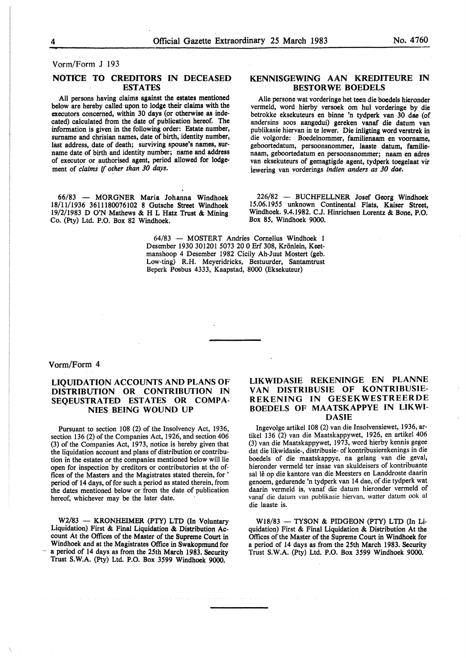Vorm/Form J 193

#### NOTICE TO CREDITORS IN DECEASED ESTATES

All persons having claims against the estates mentioned below are hereby called upon to lodge their claims with the executors concerned, within 30 days (or otherwise as indecated) calculated from the date of publication hereof. The information is given in the following order: Estate number, surname and chrisian names, date of birth, identity number, last address, date of death; surviving spouse's names, surname date of birth and identity number; name and address of executor or authorised agent, period allowed for lodgement of *claims if other than 30 days.* 

66/83 - MORGNER Maria Johanna Windhoek 18/11/1936 3611180076102 8 Gutsche Street Windhoek 19/2/1983 D O'N Mathews & H L Hatz Trust & Mining Co. (Pty) Ltd. P.O. Box 82 Windhoek.

#### KENNISGEWING AAN KREDITEURE IN BESTORWE BOEDELS

Alie persone wat vorderinge bet teen die boedels hieronder vermeld, word hierby versoek om hul vorderinge by die betrokke eksekuteurs en binne 'n tydperk van 30 dae (of andersins soos aangedui) gereken vanaf die datum van publikasie hiervan in te lewer. Die inligting word verstrek in die volgorde: Boedelnommer, familienaam en voomame, geboortedatum, persoonsnommer, laaste datum, familienaam, geboortedatum en persoonsnommer; naam en adres van eksekuteurs of gemagtigde agent, tydperk toegelaat vir iewering van vorderings *indien anders as 30 dae.* 

226/82 - BUCHFELLNER Josef Georg Windhoek 15.06.1955 unknown Continental Flats, Kaiser Street, Windhoek. 9.4.1982. C.J. Hinrichsen Lorentz & Bone, P.O. Box 85, Windhoek 9000.

64/83 - MOSTERT Andries Cornelius Windhoek 1 Desember 1930 301201 5073 20 0 Erf 308, Krönlein, Keetmanshoop 4 Desember 1982 Cicily Ah-Juut Mostert (geb. Low-ting) R.H. Meyeridricks, Bestuurder, Santamtrust Beperk Posbus 4333, Kaapstad, 8000 (Eksekuteur)

#### Vorm/Form 4

#### **LIQUlDATION ACCOUNTS AND PLANS OF DISTRIBUTION OR CONTRIBUTION IN**  SEQEUSTRATED ESTATES OR COMPA-**NIES BEING WOUND UP**

Pursuant to section 108 (2) of the Insolvency Act, 1936, section 136 (2) of the Companies Act, 1926, and section 406 (3) of the Companies Act, 1973, notice is hereby given that the liquidation account and plans of distribution or contribution in the estates or the companies mentioned below will lie open for inspection by creditors or contributories at the offices of the Masters and the Magistrates stated therein, for ' period of 14 days, of for such a period as stated therein, from the dates mentioned below or from the date of publication hereof, whichever may be the later date.

**W2/83** - **KRONHEIMER (PTY) LTD** (In **Voluntary**  Liquidation) **First** & **Final Liquidation** & **Distribution Ac**count **At the Offices** of **the Master** of **the Supreme Court** in **Windhoek** and at **the Magistrates Office** in **Swakopmund for**  - a period of 14 days as from **the 25th March 1983. Security**  Trust **S.W.A. (Pty)** Ltd. **P.O. Box 3~99 Windhoek 9000.** 

#### **LIKWIDASIE REKENINGE EN PLANNE VAN DISTRIBUSIE OF KONTRIBUSIE-REKENING IN GESEKWESTREERDE BOEDELS OF MAATSKAPPYE IN LIKWI-DASIE**

lngevolge artikel 108 (2) van die Insolvensiewet, 1936, artikel 136 (2) van die Maatskappywet, 1926, en artikel 406 (3) van die Maatskappywet, 1973, word hierby kennis gegee dat die likwidasie-, distribusie- of kontribusierekenings in die boedels of die maatskappye, na gelang van die geval, hieronder vermeld ter insae van skuldeisers of kontribuante sal lê op die kantore van die Meesters en Landdroste daarin genoem, gedurende 'n tydperk van 14 dae, of die tydperk wat daarin vermeld is, vanaf die datum hieronder vermeld of vanaf die datum van publikasie hiervan, watter datum ook al die laaste is.

 $W18/83 - TYSON & PIDGEON (PTY) LTD (In Li$ quidation) First & Final Liquidation & Distribution At the Offices of the Master of the Supreme Court in Windhoek for a period of 14 days as from the 25th March 1983. Security Trust S.W.A. (Pty) Ltd. P.O. Box 3599 Windhoek 9000.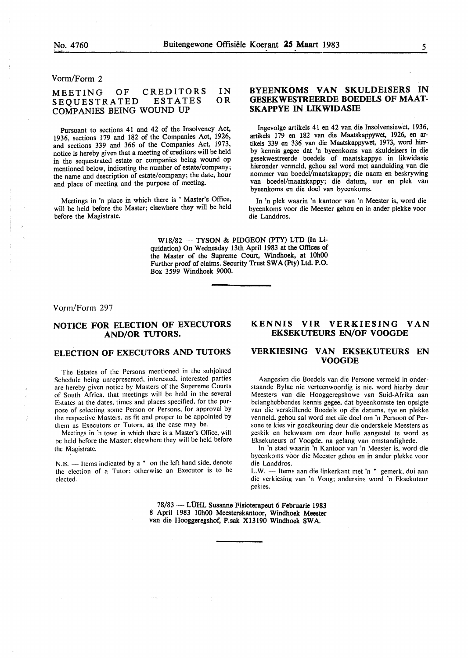Vorm/Form 2

#### MEETING OF CREDITORS<br>SEQUESTRATED ESTATES SEQUESTRATED COMPANIES BEING WOUND UP IN OR

Pursuant to sections 41 and 42 of the Insolvency Act, 1936, sections 179 and 182 of the Companies Act, 1926, and sections 339 and 366 of the Companies Act, 1973, notice is hereby given that a meeting of creditors will be held in the sequestrated estate or companies being wound op mentioned below, indicating the number of estate/company; the name and description of estate/company; the date, hour and place of meeting and the purpose of meeting.

Meetings in 'n place in which there is ' Master's Office, will be held before the Master; elsewhere they will be held before the Magistrate.

#### **BYEENKOMS VAN SKULDEISERS IN GESEKWESTREERDE BOEDELS OF MAAT-SKAPPYE IN LIKWIDASIE**

Ingevolge artikels 41 en 42 van die Insolvensiewet, 1936, artikels 179 en 182 van die Maatskappywet, 1926, en artikels 339 en 336 van die Maatskappywet, 1973, word hierby kennis gegee dat 'n byeenkoms van skuldeisers in die gesekwestreerde boedels of maatskappye in likwidasie hieronder vermeld, gehou sal word met aanduiding van die nommer van boedel/maatskappy; die naam en beskrywing van boedel/maatskappy; die datum, uur en plek van byeenkoms en die doe! van byeenkoms.

In 'n plek waarin 'n kantoor van 'n Meester is, word die byeenkoms voor die Meester gehou en in ander plekke voor die Landdros.

 $W18/82$  - TYSON & PIDGEON (PTY) LTD (In Liquidation) On Wednesday 13th April 1983 at the Offices of the Master of the Supreme Court, Windhoek, at 10h00 Further proof of claims. Security Trust SWA (Pty) Ltd. P.O. Box 3599 Windhoek 9000.

Vorm/Form 297

#### **NOTICE FOR ELECTION OF EXECUTORS AND/OR TUTORS.**

#### **ELECTION OF EXECUTORS AND TUTORS**

The Estates of the Persons mentioned in the subjoined Schedule being unrepresented. interested. interested parties are hereby given notice by Masters of the Supereme Courts of South Africa. that meetings will be held in the several Estates at the dates. times and places specified. for the purpose of selecting some Person or Persons. for approval by the respective Masters. as fit and proper to be appointed by them as Executors or Tutors. as the case may be.

Meetings in 'n town in which there is a Master's Office, will he held before the Master: elsewhere they will be held before the Magistrate.

N.B. — Items indicated by a <sup>\*</sup> on the left hand side, denote the election of a Tutor: otherwise an Executor is to be elected.

### **KENNIS VIR VERKIESING VAN EKSEKUTEURS EN/OF VOOGDE**

#### **VERKIESING VAN EKSEKUTEURS EN VOOGDE**

Aangesien die Boedels van die Persone vermeld in onderstaande Bylae nie verteenwoordig is nie, word hierby deur Meesters van die Hooggeregshowe van Suid-Afrika aan belanghebbendes kennis gegee, dat byeenkomste ten opsigte van die verskillende Boedels op die datums, tye en plekke vermeld. gehou sal word met die doel om 'n Persoon of Persone te kies vir goedkeuring deur die onderskeie Meesters as geskik en bekwaam om deur hulle aangestel te word as Eksekuteurs of Voogde, na gelang van omstandighede.

In 'n stad waarin 'n Kantoor van 'n Meester is. word die byeenkoms voor die Meester gehou en in ander plekke voor die Landdros.

L.W. - Items aan die linkerkant met 'n \* gemerk, dui aan die verkiesing van 'n Voog: andersins word 'n Eksekuteur gekies.

78/83 - LÜHL Susanne Fisioterapeut 6 Februarie 1983 8 April 1983 10h00 Meesterskantoor, Windhoek Meester van die Hooggeregshof, P.sak Xl3190 Windhoek SWA.